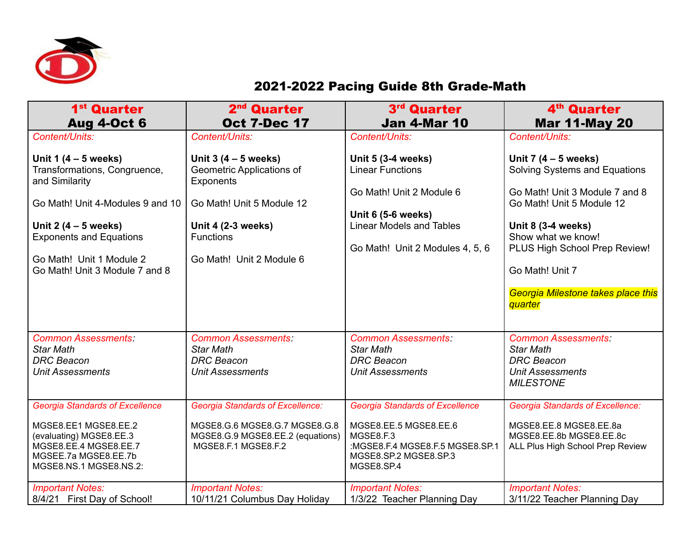

## 2021-2022 Pacing Guide 8th Grade-Math

| 1 <sup>st</sup> Quarter<br><b>Aug 4-Oct 6</b>                                                                                                                        | 2 <sup>nd</sup> Quarter<br><b>Oct 7-Dec 17</b>                                                                                      | 3rd Quarter<br><b>Jan 4-Mar 10</b>                                                                                                                     | 4 <sup>th</sup> Quarter<br><b>Mar 11-May 20</b>                                                                                  |
|----------------------------------------------------------------------------------------------------------------------------------------------------------------------|-------------------------------------------------------------------------------------------------------------------------------------|--------------------------------------------------------------------------------------------------------------------------------------------------------|----------------------------------------------------------------------------------------------------------------------------------|
| Content/Units:                                                                                                                                                       | Content/Units:                                                                                                                      | Content/Units:                                                                                                                                         | Content/Units:                                                                                                                   |
| Unit 1 $(4 - 5$ weeks)<br>Transformations, Congruence,<br>and Similarity                                                                                             | Unit $3(4-5$ weeks)<br>Geometric Applications of<br><b>Exponents</b>                                                                | <b>Unit 5 (3-4 weeks)</b><br><b>Linear Functions</b>                                                                                                   | Unit 7 $(4 - 5$ weeks)<br>Solving Systems and Equations                                                                          |
| Go Math! Unit 4-Modules 9 and 10                                                                                                                                     | Go Math! Unit 5 Module 12                                                                                                           | Go Math! Unit 2 Module 6                                                                                                                               | Go Math! Unit 3 Module 7 and 8<br>Go Math! Unit 5 Module 12                                                                      |
| Unit 2 $(4 - 5$ weeks)<br><b>Exponents and Equations</b><br>Go Math! Unit 1 Module 2<br>Go Math! Unit 3 Module 7 and 8                                               | <b>Unit 4 (2-3 weeks)</b><br><b>Functions</b><br>Go Math! Unit 2 Module 6                                                           | Unit 6 (5-6 weeks)<br><b>Linear Models and Tables</b><br>Go Math! Unit 2 Modules 4, 5, 6                                                               | <b>Unit 8 (3-4 weeks)</b><br>Show what we know!<br>PLUS High School Prep Review!<br>Go Math! Unit 7                              |
|                                                                                                                                                                      |                                                                                                                                     |                                                                                                                                                        | Georgia Milestone takes place this<br><b>quarter</b>                                                                             |
| <b>Common Assessments:</b><br><b>Star Math</b><br><b>DRC</b> Beacon<br><b>Unit Assessments</b>                                                                       | <b>Common Assessments:</b><br><b>Star Math</b><br><b>DRC</b> Beacon<br><b>Unit Assessments</b>                                      | <b>Common Assessments:</b><br><b>Star Math</b><br><b>DRC</b> Beacon<br><b>Unit Assessments</b>                                                         | <b>Common Assessments:</b><br><b>Star Math</b><br><b>DRC</b> Beacon<br><b>Unit Assessments</b><br><b>MILESTONE</b>               |
| <b>Georgia Standards of Excellence</b><br>MGSE8.EE1 MGSE8.EE.2<br>(evaluating) MGSE8.EE.3<br>MGSE8.EE.4 MGSE8.EE.7<br>MGSEE.7a MGSE8.EE.7b<br>MGSE8.NS.1 MGSE8.NS.2: | <b>Georgia Standards of Excellence:</b><br>MGSE8.G.6 MGSE8.G.7 MGSE8.G.8<br>MGSE8.G.9 MGSE8.EE.2 (equations)<br>MGSE8.F.1 MGSE8.F.2 | <b>Georgia Standards of Excellence</b><br>MGSE8.EE.5 MGSE8.EE.6<br>MGSE8.F.3<br>:MGSE8.F.4 MGSE8.F.5 MGSE8.SP.1<br>MGSE8.SP.2 MGSE8.SP.3<br>MGSE8.SP.4 | <b>Georgia Standards of Excellence:</b><br>MGSE8.EE.8 MGSE8.EE.8a<br>MGSE8.EE.8b MGSE8.EE.8c<br>ALL Plus High School Prep Review |
| <b>Important Notes:</b><br>8/4/21 First Day of School!                                                                                                               | <b>Important Notes:</b><br>10/11/21 Columbus Day Holiday                                                                            | <b>Important Notes:</b><br>1/3/22 Teacher Planning Day                                                                                                 | <b>Important Notes:</b><br>3/11/22 Teacher Planning Day                                                                          |